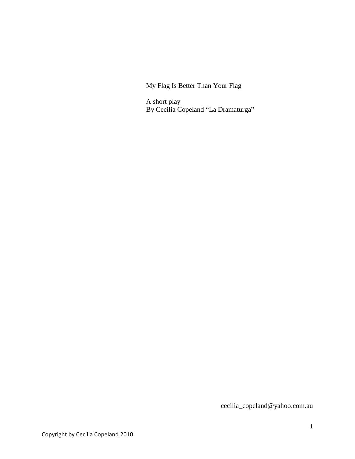My Flag Is Better Than Your Flag

A short play By Cecilia Copeland "La Dramaturga"

cecilia\_copeland@yahoo.com.au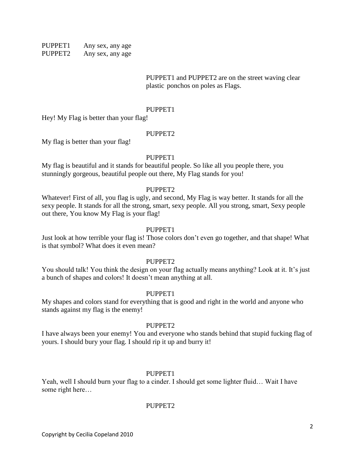PUPPET1 Any sex, any age PUPPET2 Any sex, any age

> PUPPET1 and PUPPET2 are on the street waving clear plastic ponchos on poles as Flags.

#### PUPPET1

Hey! My Flag is better than your flag!

#### PUPPET<sub>2</sub>

My flag is better than your flag!

#### PUPPET<sub>1</sub>

My flag is beautiful and it stands for beautiful people. So like all you people there, you stunningly gorgeous, beautiful people out there, My Flag stands for you!

#### PUPPET2

Whatever! First of all, you flag is ugly, and second, My Flag is way better. It stands for all the sexy people. It stands for all the strong, smart, sexy people. All you strong, smart, Sexy people out there, You know My Flag is your flag!

#### PUPPET1

Just look at how terrible your flag is! Those colors don't even go together, and that shape! What is that symbol? What does it even mean?

#### PUPPET<sub>2</sub>

You should talk! You think the design on your flag actually means anything? Look at it. It's just a bunch of shapes and colors! It doesn't mean anything at all.

#### PUPPET1

My shapes and colors stand for everything that is good and right in the world and anyone who stands against my flag is the enemy!

#### PUPPET2

I have always been your enemy! You and everyone who stands behind that stupid fucking flag of yours. I should bury your flag. I should rip it up and burry it!

#### PUPPET1

Yeah, well I should burn your flag to a cinder. I should get some lighter fluid… Wait I have some right here…

#### PUPPET2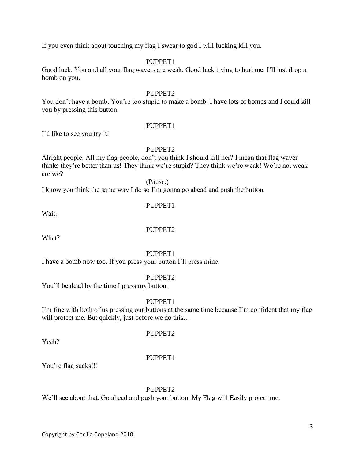If you even think about touching my flag I swear to god I will fucking kill you.

#### PUPPET<sub>1</sub>

Good luck. You and all your flag wavers are weak. Good luck trying to hurt me. I'll just drop a bomb on you.

#### PUPPET<sub>2</sub>

You don't have a bomb, You're too stupid to make a bomb. I have lots of bombs and I could kill you by pressing this button.

#### PUPPET<sub>1</sub>

I'd like to see you try it!

#### PUPPET2

Alright people. All my flag people, don't you think I should kill her? I mean that flag waver thinks they're better than us! They think we're stupid? They think we're weak! We're not weak are we?

(Pause.)

I know you think the same way I do so I'm gonna go ahead and push the button.

## PUPPET<sub>1</sub>

Wait.

#### PUPPET2

What?

#### PUPPET1

I have a bomb now too. If you press your button I'll press mine.

#### PUPPET2

You'll be dead by the time I press my button.

#### PUPPET1

I'm fine with both of us pressing our buttons at the same time because I'm confident that my flag will protect me. But quickly, just before we do this…

Yeah?

# PUPPET2

#### PUPPET1

You're flag sucks!!!

#### PUPPET2

We'll see about that. Go ahead and push your button. My Flag will Easily protect me.